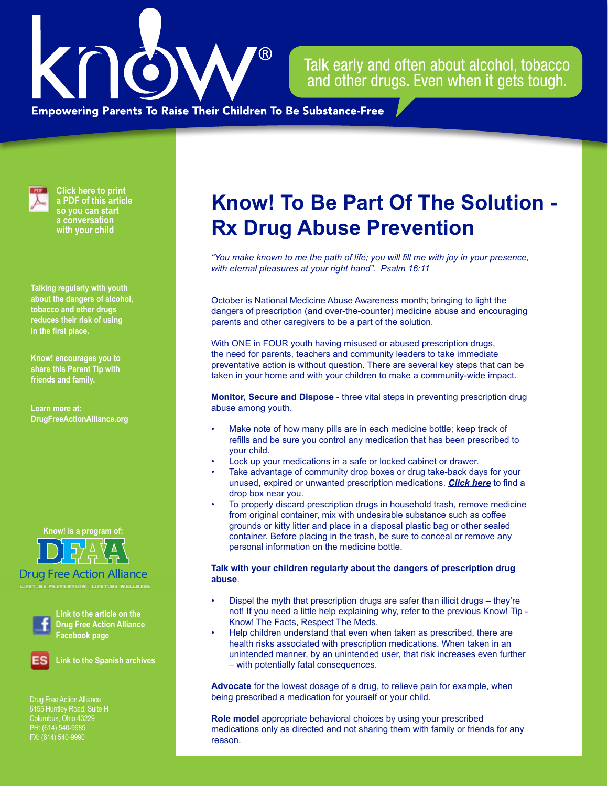

Talk early and often about alcohol, tobacco and other drugs. Even when it gets tough.

**Empowering Parents To Raise Their Children To Be Substance-Free** 



**Click here to print a PDF of this article so you can start a conversation with your child**

**Talking regularly with youth about the dangers of alcohol, tobacco and other drugs reduces their risk of using in the first place.**

**Know! encourages you to share this Parent Tip with friends and family.**

**Learn more at: [DrugFreeActionAlliance.org](https://www.drugfreeactionalliance.org/)**

## **Know! is a program of:**



Drug Free Action Alliance



**Link to the article on the Drug Free Action Alliance Facebook page**



**Link to the Spanish archives**

Drug Free Action Alliance Columbus, Ohio 43229 PH: (614) 540-9985 FX: (614) 540-9990

## **Know! To Be Part Of The Solution - Rx Drug Abuse Prevention**

*"You make known to me the path of life; you will fill me with joy in your presence, with eternal pleasures at your right hand". Psalm 16:11*

October is National Medicine Abuse Awareness month; bringing to light the dangers of prescription (and over-the-counter) medicine abuse and encouraging parents and other caregivers to be a part of the solution.

With ONE in FOUR youth having misused or abused prescription drugs, the need for parents, teachers and community leaders to take immediate preventative action is without question. There are several key steps that can be taken in your home and with your children to make a community-wide impact.

**Monitor, Secure and Dispose** - three vital steps in preventing prescription drug abuse among youth.

- Make note of how many pills are in each medicine bottle; keep track of refills and be sure you control any medication that has been prescribed to your child.
- Lock up your medications in a safe or locked cabinet or drawer.
- Take advantage of community drop boxes or drug take-back days for your unused, expired or unwanted prescription medications. *[Click here](http://rxdrugdropbox.org/)* to find a drop box near you.
- To properly discard prescription drugs in household trash, remove medicine from original container, mix with undesirable substance such as coffee grounds or kitty litter and place in a disposal plastic bag or other sealed container. Before placing in the trash, be sure to conceal or remove any personal information on the medicine bottle.

## **Talk with your children regularly about the dangers of prescription drug abuse**.

- Dispel the myth that prescription drugs are safer than illicit drugs they're not! If you need a little help explaining why, refer to the previous Know! Tip - Know! The Facts, Respect The Meds.
- Help children understand that even when taken as prescribed, there are health risks associated with prescription medications. When taken in an unintended manner, by an unintended user, that risk increases even further – with potentially fatal consequences.

**Advocate** for the lowest dosage of a drug, to relieve pain for example, when being prescribed a medication for yourself or your child.

**Role model** appropriate behavioral choices by using your prescribed medications only as directed and not sharing them with family or friends for any reason.